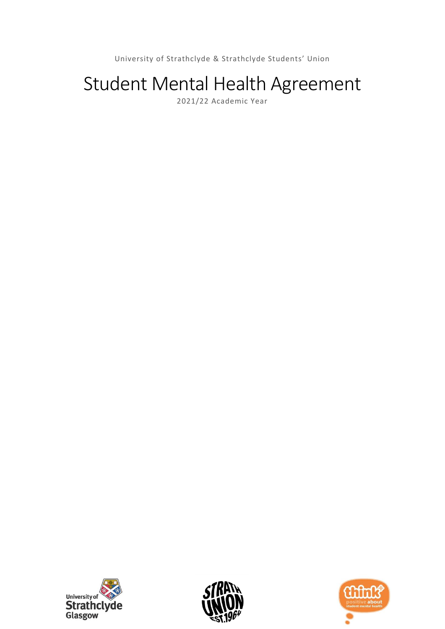University of Strathclyde & Strathclyde Students' Union

# Student Mental Health Agreement

2021/22 Academic Year





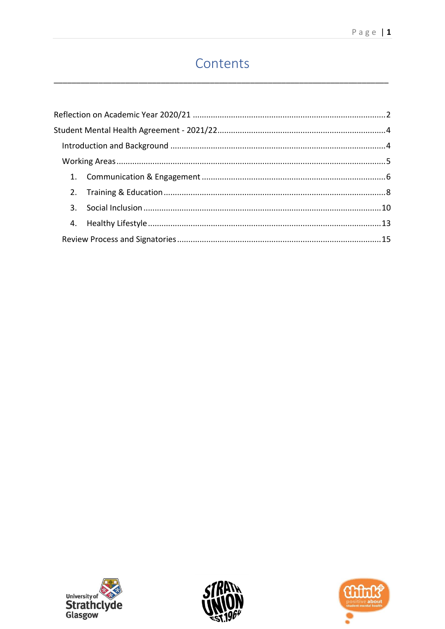## Contents





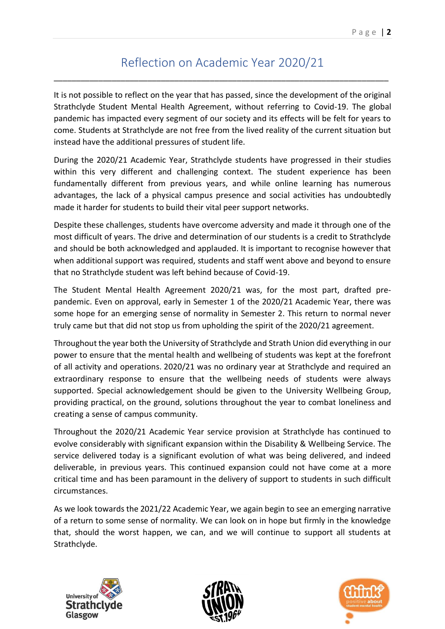## Reflection on Academic Year 2020/21

<span id="page-2-0"></span>\_\_\_\_\_\_\_\_\_\_\_\_\_\_\_\_\_\_\_\_\_\_\_\_\_\_\_\_\_\_\_\_\_\_\_\_\_\_\_\_\_\_\_\_\_\_\_\_\_\_\_\_\_\_\_\_\_\_\_\_\_\_\_\_\_\_\_\_\_\_\_\_\_\_\_

It is not possible to reflect on the year that has passed, since the development of the original Strathclyde Student Mental Health Agreement, without referring to Covid-19. The global pandemic has impacted every segment of our society and its effects will be felt for years to come. Students at Strathclyde are not free from the lived reality of the current situation but instead have the additional pressures of student life.

During the 2020/21 Academic Year, Strathclyde students have progressed in their studies within this very different and challenging context. The student experience has been fundamentally different from previous years, and while online learning has numerous advantages, the lack of a physical campus presence and social activities has undoubtedly made it harder for students to build their vital peer support networks.

Despite these challenges, students have overcome adversity and made it through one of the most difficult of years. The drive and determination of our students is a credit to Strathclyde and should be both acknowledged and applauded. It is important to recognise however that when additional support was required, students and staff went above and beyond to ensure that no Strathclyde student was left behind because of Covid-19.

The Student Mental Health Agreement 2020/21 was, for the most part, drafted prepandemic. Even on approval, early in Semester 1 of the 2020/21 Academic Year, there was some hope for an emerging sense of normality in Semester 2. This return to normal never truly came but that did not stop us from upholding the spirit of the 2020/21 agreement.

Throughout the year both the University of Strathclyde and Strath Union did everything in our power to ensure that the mental health and wellbeing of students was kept at the forefront of all activity and operations. 2020/21 was no ordinary year at Strathclyde and required an extraordinary response to ensure that the wellbeing needs of students were always supported. Special acknowledgement should be given to the University Wellbeing Group, providing practical, on the ground, solutions throughout the year to combat loneliness and creating a sense of campus community.

Throughout the 2020/21 Academic Year service provision at Strathclyde has continued to evolve considerably with significant expansion within the Disability & Wellbeing Service. The service delivered today is a significant evolution of what was being delivered, and indeed deliverable, in previous years. This continued expansion could not have come at a more critical time and has been paramount in the delivery of support to students in such difficult circumstances.

As we look towards the 2021/22 Academic Year, we again begin to see an emerging narrative of a return to some sense of normality. We can look on in hope but firmly in the knowledge that, should the worst happen, we can, and we will continue to support all students at Strathclyde.





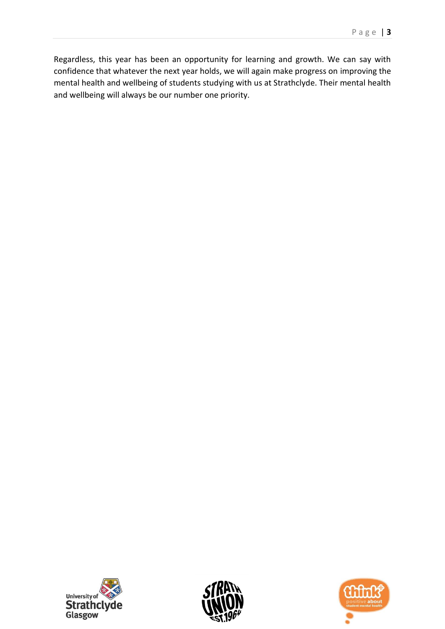Regardless, this year has been an opportunity for learning and growth. We can say with confidence that whatever the next year holds, we will again make progress on improving the mental health and wellbeing of students studying with us at Strathclyde. Their mental health and wellbeing will always be our number one priority.





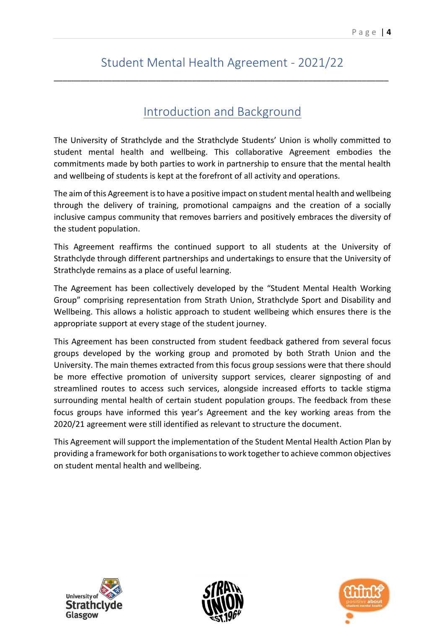## Student Mental Health Agreement - 2021/22

<span id="page-4-1"></span><span id="page-4-0"></span>\_\_\_\_\_\_\_\_\_\_\_\_\_\_\_\_\_\_\_\_\_\_\_\_\_\_\_\_\_\_\_\_\_\_\_\_\_\_\_\_\_\_\_\_\_\_\_\_\_\_\_\_\_\_\_\_\_\_\_\_\_\_\_\_\_\_\_\_\_\_\_\_\_\_\_

## Introduction and Background

The University of Strathclyde and the Strathclyde Students' Union is wholly committed to student mental health and wellbeing. This collaborative Agreement embodies the commitments made by both parties to work in partnership to ensure that the mental health and wellbeing of students is kept at the forefront of all activity and operations.

The aim of this Agreement is to have a positive impact on student mental health and wellbeing through the delivery of training, promotional campaigns and the creation of a socially inclusive campus community that removes barriers and positively embraces the diversity of the student population.

This Agreement reaffirms the continued support to all students at the University of Strathclyde through different partnerships and undertakings to ensure that the University of Strathclyde remains as a place of useful learning.

The Agreement has been collectively developed by the "Student Mental Health Working Group" comprising representation from Strath Union, Strathclyde Sport and Disability and Wellbeing. This allows a holistic approach to student wellbeing which ensures there is the appropriate support at every stage of the student journey.

This Agreement has been constructed from student feedback gathered from several focus groups developed by the working group and promoted by both Strath Union and the University. The main themes extracted from this focus group sessions were that there should be more effective promotion of university support services, clearer signposting of and streamlined routes to access such services, alongside increased efforts to tackle stigma surrounding mental health of certain student population groups. The feedback from these focus groups have informed this year's Agreement and the key working areas from the 2020/21 agreement were still identified as relevant to structure the document.

This Agreement will support the implementation of the Student Mental Health Action Plan by providing a framework for both organisations to work together to achieve common objectives on student mental health and wellbeing.





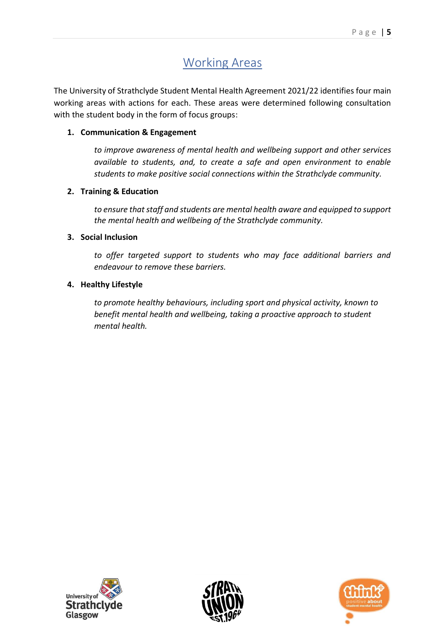## Working Areas

<span id="page-5-0"></span>The University of Strathclyde Student Mental Health Agreement 2021/22 identifies four main working areas with actions for each. These areas were determined following consultation with the student body in the form of focus groups:

#### **1. Communication & Engagement**

*to improve awareness of mental health and wellbeing support and other services available to students, and, to create a safe and open environment to enable students to make positive social connections within the Strathclyde community.*

#### **2. Training & Education**

*to ensure that staff and students are mental health aware and equipped to support the mental health and wellbeing of the Strathclyde community.*

#### **3. Social Inclusion**

*to offer targeted support to students who may face additional barriers and endeavour to remove these barriers.*

#### **4. Healthy Lifestyle**

*to promote healthy behaviours, including sport and physical activity, known to benefit mental health and wellbeing, taking a proactive approach to student mental health.*





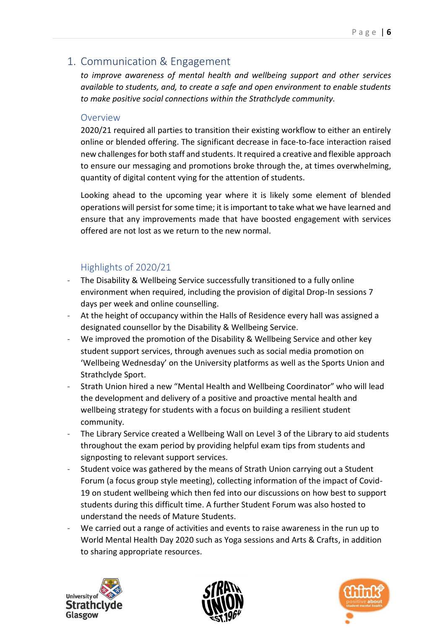## <span id="page-6-0"></span>1. Communication & Engagement

*to improve awareness of mental health and wellbeing support and other services available to students, and, to create a safe and open environment to enable students to make positive social connections within the Strathclyde community.*

#### Overview

2020/21 required all parties to transition their existing workflow to either an entirely online or blended offering. The significant decrease in face-to-face interaction raised new challenges for both staff and students. It required a creative and flexible approach to ensure our messaging and promotions broke through the, at times overwhelming, quantity of digital content vying for the attention of students.

Looking ahead to the upcoming year where it is likely some element of blended operations will persist for some time; it is important to take what we have learned and ensure that any improvements made that have boosted engagement with services offered are not lost as we return to the new normal.

- The Disability & Wellbeing Service successfully transitioned to a fully online environment when required, including the provision of digital Drop-In sessions 7 days per week and online counselling.
- At the height of occupancy within the Halls of Residence every hall was assigned a designated counsellor by the Disability & Wellbeing Service.
- We improved the promotion of the Disability & Wellbeing Service and other key student support services, through avenues such as social media promotion on 'Wellbeing Wednesday' on the University platforms as well as the Sports Union and Strathclyde Sport.
- Strath Union hired a new "Mental Health and Wellbeing Coordinator" who will lead the development and delivery of a positive and proactive mental health and wellbeing strategy for students with a focus on building a resilient student community.
- The Library Service created a Wellbeing Wall on Level 3 of the Library to aid students throughout the exam period by providing helpful exam tips from students and signposting to relevant support services.
- Student voice was gathered by the means of Strath Union carrying out a Student Forum (a focus group style meeting), collecting information of the impact of Covid-19 on student wellbeing which then fed into our discussions on how best to support students during this difficult time. A further Student Forum was also hosted to understand the needs of Mature Students.
- We carried out a range of activities and events to raise awareness in the run up to World Mental Health Day 2020 such as Yoga sessions and Arts & Crafts, in addition to sharing appropriate resources.





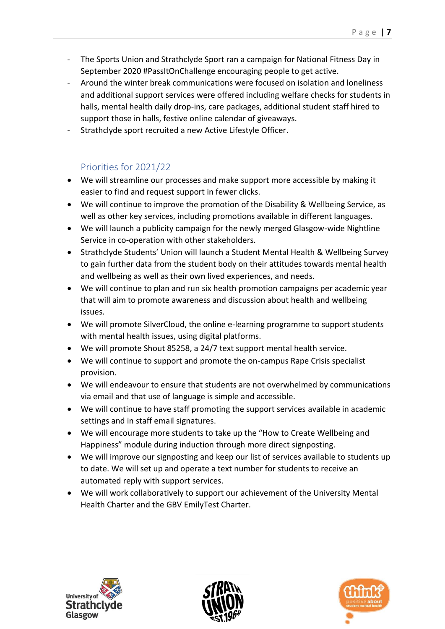- The Sports Union and Strathclyde Sport ran a campaign for National Fitness Day in September 2020 #PassItOnChallenge encouraging people to get active.
- Around the winter break communications were focused on isolation and loneliness and additional support services were offered including welfare checks for students in halls, mental health daily drop-ins, care packages, additional student staff hired to support those in halls, festive online calendar of giveaways.
- Strathclyde sport recruited a new Active Lifestyle Officer.

- We will streamline our processes and make support more accessible by making it easier to find and request support in fewer clicks.
- We will continue to improve the promotion of the Disability & Wellbeing Service, as well as other key services, including promotions available in different languages.
- We will launch a publicity campaign for the newly merged Glasgow-wide Nightline Service in co-operation with other stakeholders.
- Strathclyde Students' Union will launch a Student Mental Health & Wellbeing Survey to gain further data from the student body on their attitudes towards mental health and wellbeing as well as their own lived experiences, and needs.
- We will continue to plan and run six health promotion campaigns per academic year that will aim to promote awareness and discussion about health and wellbeing issues.
- We will promote SilverCloud, the online e-learning programme to support students with mental health issues, using digital platforms.
- We will promote Shout 85258, a 24/7 text support mental health service.
- We will continue to support and promote the on-campus Rape Crisis specialist provision.
- We will endeavour to ensure that students are not overwhelmed by communications via email and that use of language is simple and accessible.
- We will continue to have staff promoting the support services available in academic settings and in staff email signatures.
- We will encourage more students to take up the "How to Create Wellbeing and Happiness" module during induction through more direct signposting.
- We will improve our signposting and keep our list of services available to students up to date. We will set up and operate a text number for students to receive an automated reply with support services.
- We will work collaboratively to support our achievement of the University Mental Health Charter and the GBV EmilyTest Charter.





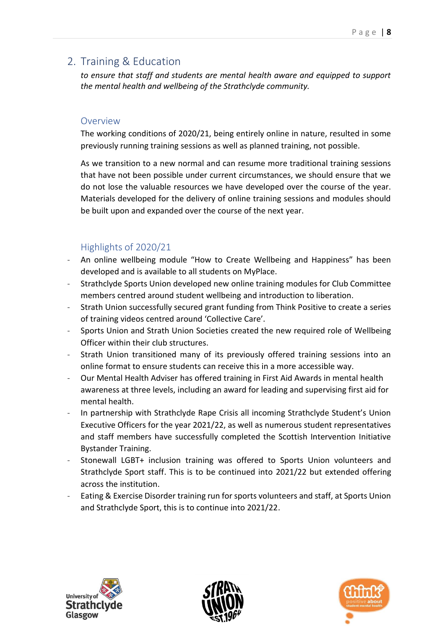## <span id="page-8-0"></span>2. Training & Education

*to ensure that staff and students are mental health aware and equipped to support the mental health and wellbeing of the Strathclyde community.*

#### Overview

The working conditions of 2020/21, being entirely online in nature, resulted in some previously running training sessions as well as planned training, not possible.

As we transition to a new normal and can resume more traditional training sessions that have not been possible under current circumstances, we should ensure that we do not lose the valuable resources we have developed over the course of the year. Materials developed for the delivery of online training sessions and modules should be built upon and expanded over the course of the next year.

- An online wellbeing module "How to Create Wellbeing and Happiness" has been developed and is available to all students on MyPlace.
- Strathclyde Sports Union developed new online training modules for Club Committee members centred around student wellbeing and introduction to liberation.
- Strath Union successfully secured grant funding from Think Positive to create a series of training videos centred around 'Collective Care'.
- Sports Union and Strath Union Societies created the new required role of Wellbeing Officer within their club structures.
- Strath Union transitioned many of its previously offered training sessions into an online format to ensure students can receive this in a more accessible way.
- Our Mental Health Adviser has offered training in First Aid Awards in mental health awareness at three levels, including an award for leading and supervising first aid for mental health.
- In partnership with Strathclyde Rape Crisis all incoming Strathclyde Student's Union Executive Officers for the year 2021/22, as well as numerous student representatives and staff members have successfully completed the Scottish Intervention Initiative Bystander Training.
- Stonewall LGBT+ inclusion training was offered to Sports Union volunteers and Strathclyde Sport staff. This is to be continued into 2021/22 but extended offering across the institution.
- Eating & Exercise Disorder training run for sports volunteers and staff, at Sports Union and Strathclyde Sport, this is to continue into 2021/22.





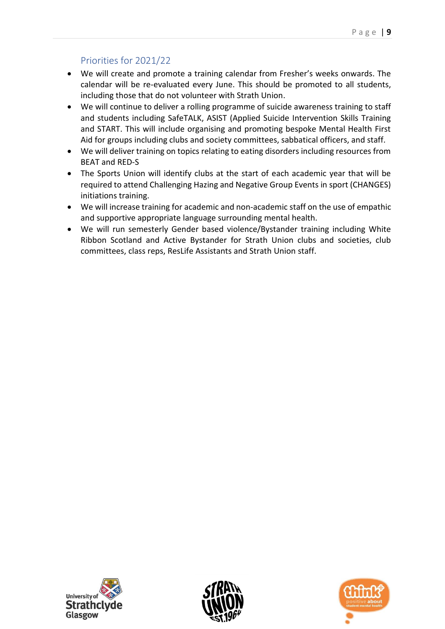- We will create and promote a training calendar from Fresher's weeks onwards. The calendar will be re-evaluated every June. This should be promoted to all students, including those that do not volunteer with Strath Union.
- We will continue to deliver a rolling programme of suicide awareness training to staff and students including SafeTALK, ASIST (Applied Suicide Intervention Skills Training and START. This will include organising and promoting bespoke Mental Health First Aid for groups including clubs and society committees, sabbatical officers, and staff.
- We will deliver training on topics relating to eating disorders including resources from BEAT and RED-S
- The Sports Union will identify clubs at the start of each academic year that will be required to attend Challenging Hazing and Negative Group Events in sport (CHANGES) initiations training.
- We will increase training for academic and non-academic staff on the use of empathic and supportive appropriate language surrounding mental health.
- We will run semesterly Gender based violence/Bystander training including White Ribbon Scotland and Active Bystander for Strath Union clubs and societies, club committees, class reps, ResLife Assistants and Strath Union staff.





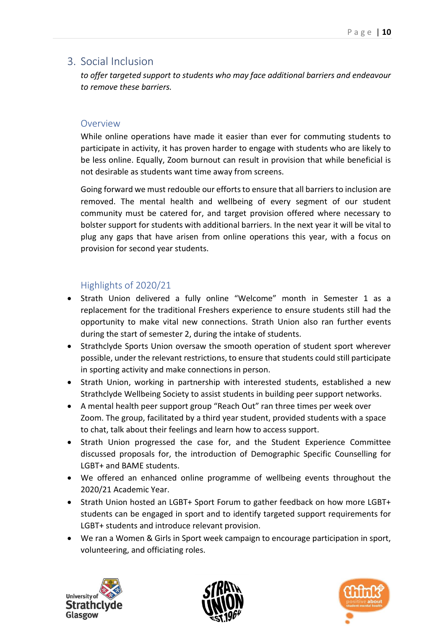### <span id="page-10-0"></span>3. Social Inclusion

*to offer targeted support to students who may face additional barriers and endeavour to remove these barriers.*

#### Overview

While online operations have made it easier than ever for commuting students to participate in activity, it has proven harder to engage with students who are likely to be less online. Equally, Zoom burnout can result in provision that while beneficial is not desirable as students want time away from screens.

Going forward we must redouble our efforts to ensure that all barriers to inclusion are removed. The mental health and wellbeing of every segment of our student community must be catered for, and target provision offered where necessary to bolster support for students with additional barriers. In the next year it will be vital to plug any gaps that have arisen from online operations this year, with a focus on provision for second year students.

- Strath Union delivered a fully online "Welcome" month in Semester 1 as a replacement for the traditional Freshers experience to ensure students still had the opportunity to make vital new connections. Strath Union also ran further events during the start of semester 2, during the intake of students.
- Strathclyde Sports Union oversaw the smooth operation of student sport wherever possible, under the relevant restrictions, to ensure that students could still participate in sporting activity and make connections in person.
- Strath Union, working in partnership with interested students, established a new Strathclyde Wellbeing Society to assist students in building peer support networks.
- A mental health peer support group "Reach Out" ran three times per week over Zoom. The group, facilitated by a third year student, provided students with a space to chat, talk about their feelings and learn how to access support.
- Strath Union progressed the case for, and the Student Experience Committee discussed proposals for, the introduction of Demographic Specific Counselling for LGBT+ and BAME students.
- We offered an enhanced online programme of wellbeing events throughout the 2020/21 Academic Year.
- Strath Union hosted an LGBT+ Sport Forum to gather feedback on how more LGBT+ students can be engaged in sport and to identify targeted support requirements for LGBT+ students and introduce relevant provision.
- We ran a Women & Girls in Sport week campaign to encourage participation in sport, volunteering, and officiating roles.





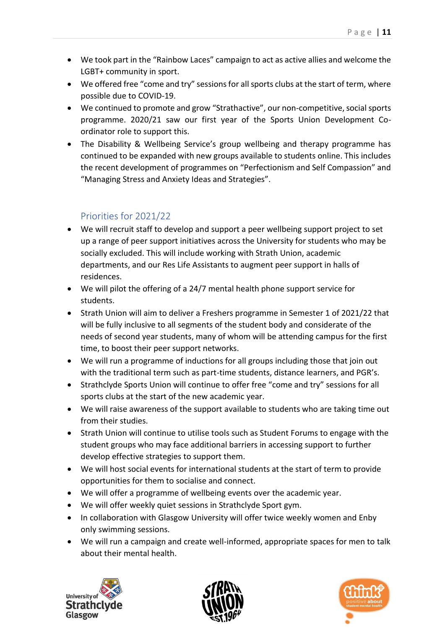- We took part in the "Rainbow Laces" campaign to act as active allies and welcome the LGBT+ community in sport.
- We offered free "come and try" sessions for all sports clubs at the start of term, where possible due to COVID-19.
- We continued to promote and grow "Strathactive", our non-competitive, social sports programme. 2020/21 saw our first year of the Sports Union Development Coordinator role to support this.
- The Disability & Wellbeing Service's group wellbeing and therapy programme has continued to be expanded with new groups available to students online. This includes the recent development of programmes on "Perfectionism and Self Compassion" and "Managing Stress and Anxiety Ideas and Strategies".

- We will recruit staff to develop and support a peer wellbeing support project to set up a range of peer support initiatives across the University for students who may be socially excluded. This will include working with Strath Union, academic departments, and our Res Life Assistants to augment peer support in halls of residences.
- We will pilot the offering of a 24/7 mental health phone support service for students.
- Strath Union will aim to deliver a Freshers programme in Semester 1 of 2021/22 that will be fully inclusive to all segments of the student body and considerate of the needs of second year students, many of whom will be attending campus for the first time, to boost their peer support networks.
- We will run a programme of inductions for all groups including those that join out with the traditional term such as part-time students, distance learners, and PGR's.
- Strathclyde Sports Union will continue to offer free "come and try" sessions for all sports clubs at the start of the new academic year.
- We will raise awareness of the support available to students who are taking time out from their studies.
- Strath Union will continue to utilise tools such as Student Forums to engage with the student groups who may face additional barriers in accessing support to further develop effective strategies to support them.
- We will host social events for international students at the start of term to provide opportunities for them to socialise and connect.
- We will offer a programme of wellbeing events over the academic year.
- We will offer weekly quiet sessions in Strathclyde Sport gym.
- In collaboration with Glasgow University will offer twice weekly women and Enby only swimming sessions.
- We will run a campaign and create well-informed, appropriate spaces for men to talk about their mental health.





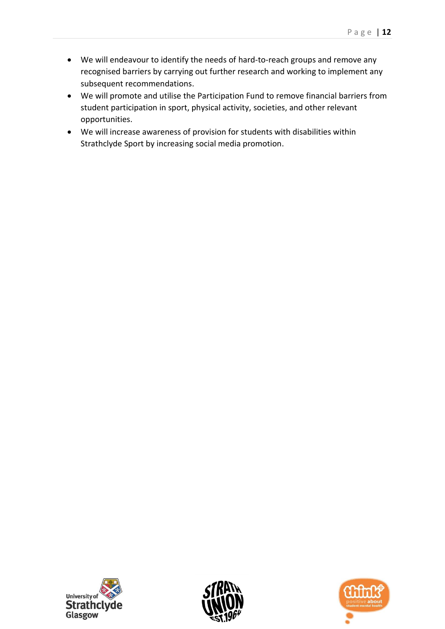- We will endeavour to identify the needs of hard-to-reach groups and remove any recognised barriers by carrying out further research and working to implement any subsequent recommendations.
- We will promote and utilise the Participation Fund to remove financial barriers from student participation in sport, physical activity, societies, and other relevant opportunities.
- We will increase awareness of provision for students with disabilities within Strathclyde Sport by increasing social media promotion.





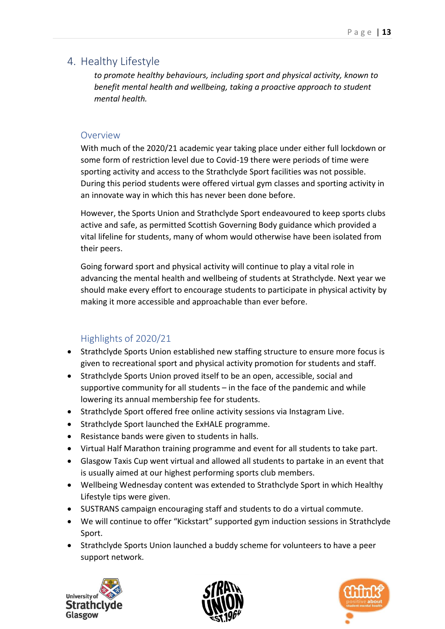## <span id="page-13-0"></span>4. Healthy Lifestyle

*to promote healthy behaviours, including sport and physical activity, known to benefit mental health and wellbeing, taking a proactive approach to student mental health.*

#### **Overview**

With much of the 2020/21 academic year taking place under either full lockdown or some form of restriction level due to Covid-19 there were periods of time were sporting activity and access to the Strathclyde Sport facilities was not possible. During this period students were offered virtual gym classes and sporting activity in an innovate way in which this has never been done before.

However, the Sports Union and Strathclyde Sport endeavoured to keep sports clubs active and safe, as permitted Scottish Governing Body guidance which provided a vital lifeline for students, many of whom would otherwise have been isolated from their peers.

Going forward sport and physical activity will continue to play a vital role in advancing the mental health and wellbeing of students at Strathclyde. Next year we should make every effort to encourage students to participate in physical activity by making it more accessible and approachable than ever before.

- Strathclyde Sports Union established new staffing structure to ensure more focus is given to recreational sport and physical activity promotion for students and staff.
- Strathclyde Sports Union proved itself to be an open, accessible, social and supportive community for all students – in the face of the pandemic and while lowering its annual membership fee for students.
- Strathclyde Sport offered free online activity sessions via Instagram Live.
- Strathclyde Sport launched the ExHALE programme.
- Resistance bands were given to students in halls.
- Virtual Half Marathon training programme and event for all students to take part.
- Glasgow Taxis Cup went virtual and allowed all students to partake in an event that is usually aimed at our highest performing sports club members.
- Wellbeing Wednesday content was extended to Strathclyde Sport in which Healthy Lifestyle tips were given.
- SUSTRANS campaign encouraging staff and students to do a virtual commute.
- We will continue to offer "Kickstart" supported gym induction sessions in Strathclyde Sport.
- Strathclyde Sports Union launched a buddy scheme for volunteers to have a peer support network.





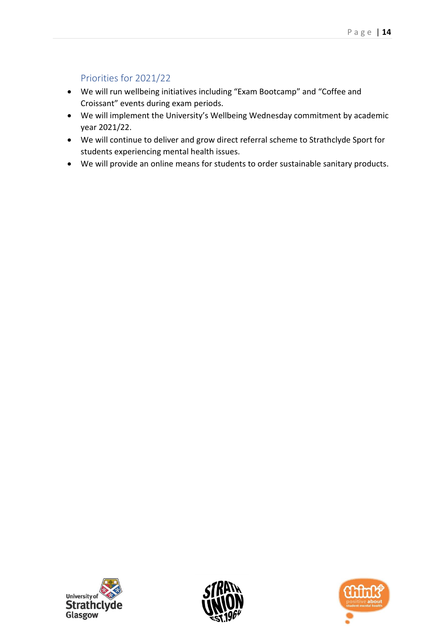- We will run wellbeing initiatives including "Exam Bootcamp" and "Coffee and Croissant" events during exam periods.
- We will implement the University's Wellbeing Wednesday commitment by academic year 2021/22.
- We will continue to deliver and grow direct referral scheme to Strathclyde Sport for students experiencing mental health issues.
- We will provide an online means for students to order sustainable sanitary products.